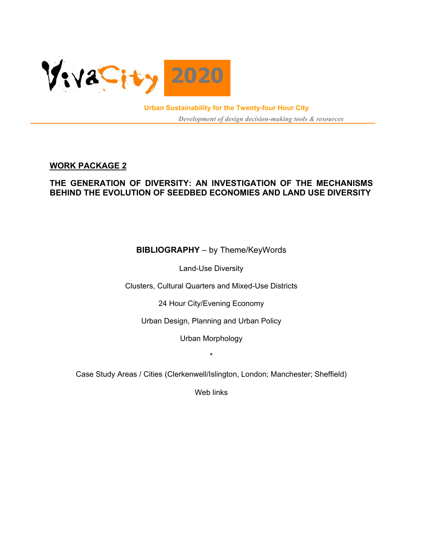

**Urban Sustainability for the Twenty-four Hour City**  *Development of design decision-making tools & resources*

# **WORK PACKAGE 2**

# **THE GENERATION OF DIVERSITY: AN INVESTIGATION OF THE MECHANISMS BEHIND THE EVOLUTION OF SEEDBED ECONOMIES AND LAND USE DIVERSITY**

# **BIBLIOGRAPHY** – by Theme/KeyWords

Land-Use Diversity

Clusters, Cultural Quarters and Mixed-Use Districts

24 Hour City/Evening Economy

Urban Design, Planning and Urban Policy

Urban Morphology

\*

Case Study Areas / Cities (Clerkenwell/Islington, London; Manchester; Sheffield)

Web links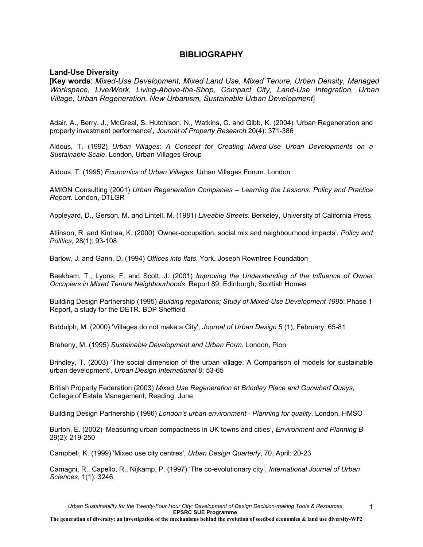## **BIBLIOGRAPHY**

#### **Land-Use Diversity**

[**Key words**: *Mixed-Use Development, Mixed Land Use, Mixed Tenure, Urban Density, Managed Workspace, Live/Work, Living-Above-the-Shop, Compact City, Land-Use Integration, Urban Village, Urban Regeneration, New Urbanism, Sustainable Urban Development*]

Adair, A., Berry, J., McGreal, S. Hutchison, N., Watkins, C. and Gibb, K. (2004) 'Urban Regeneration and property investment performance', *Journal of Property Research* 20(4): 371-386

Aldous, T. (1992) *Urban Villages: A Concept for Creating Mixed-Use Urban Developments on a Sustainable Scale*. London, Urban Villages Group

Aldous, T. (1995) *Economics of Urban Villages*, Urban Villages Forum. London

AMION Consulting (2001) *Urban Regeneration Companies – Learning the Lessons. Policy and Practice Report*. London, DTLGR

Appleyard, D., Gerson, M. and Lintell, M. (1981) *Liveable Streets*. Berkeley, University of California Press

Atlinson, R. and Kintrea, K. (2000) 'Owner-occupation, social mix and neighbourhood impacts', *Policy and Politics*, 28(1): 93-108

Barlow, J. and Gann, D. (1994) *Offices into flats*. York, Joseph Rowntree Foundation

Beekham, T., Lyons, F. and Scott, J. (2001) *Improving the Understanding of the Influence of Owner Occupiers in Mixed Tenure Neighbourhoods*. Report 89. Edinburgh, Scottish Homes

Building Design Partnership (1995) *Building regulations; Study of Mixed-Use Development 1995*: Phase 1 Report, a study for the DETR. BDP Sheffield

Biddulph, M. (2000) 'Villages do not make a City', *Journal of Urban Design* 5 (1), February: 65-81

Breheny, M. (1995) *Sustainable Development and Urban Form*. London, Pion

Brindley, T. (2003) 'The social dimension of the urban village. A Comparison of models for sustainable urban development', *Urban Design International* 8: 53-65

British Property Federation (2003) *Mixed Use Regeneration at Brindley Place and Gunwharf Quays*, College of Estate Management, Reading, June.

Building Design Partnership (1996) *London's urban environment - Planning for quality*. London, HMSO

Burton, E. (2002) 'Measuring urban compactness in UK towns and cities', *Environment and Planning B* 29(2): 219-250

Campbell, K. (1999) 'Mixed use city centres', *Urban Design Quarterly*, 70, April: 20-23

Camagni, R., Capello, R., Nijkamp, P. (1997) 'The co-evolutionary city', *International Journal of Urban Sciences*, 1(1): 3246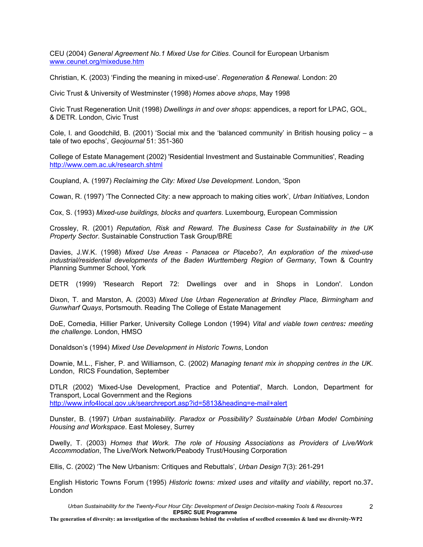CEU (2004) *General Agreement No.1 Mixed Use for Cities*. Council for European Urbanism www.ceunet.org/mixeduse.htm

Christian, K. (2003) 'Finding the meaning in mixed-use'. *Regeneration & Renewal*. London: 20

Civic Trust & University of Westminster (1998) *Homes above shops*, May 1998

Civic Trust Regeneration Unit (1998) *Dwellings in and over shops*: appendices, a report for LPAC, GOL, & DETR. London, Civic Trust

Cole, I. and Goodchild, B. (2001) 'Social mix and the 'balanced community' in British housing policy – a tale of two epochs', *Geojournal* 51: 351-360

College of Estate Management (2002) 'Residential Investment and Sustainable Communities', Reading http://www.cem.ac.uk/research.shtml

Coupland, A. (1997) *Reclaiming the City: Mixed Use Development*. London, 'Spon

Cowan, R. (1997) 'The Connected City: a new approach to making cities work', *Urban Initiatives*, London

Cox, S. (1993) *Mixed-use buildings, blocks and quarters*. Luxembourg, European Commission

Crossley, R. (2001) *Reputation, Risk and Reward. The Business Case for Sustainability in the UK Property Sector*. Sustainable Construction Task Group/BRE

Davies, J.W.K. (1998) *Mixed Use Areas - Panacea or Placebo?, An exploration of the mixed-use industrial/residential developments of the Baden Wurttemberg Region of Germany*, Town & Country Planning Summer School, York

DETR (1999) 'Research Report 72: Dwellings over and in Shops in London'. London

Dixon, T. and Marston, A. (2003) *Mixed Use Urban Regeneration at Brindley Place, Birmingham and Gunwharf Quays*, Portsmouth. Reading The College of Estate Management

DoE, Comedia, Hillier Parker, University College London (1994) *Vital and viable town centres: meeting the challenge*. London, HMSO

Donaldson's (1994) *Mixed Use Development in Historic Towns*, London

Downie, M.L., Fisher, P. and Williamson, C. (2002) *Managing tenant mix in shopping centres in the UK*. London, RICS Foundation, September

DTLR (2002) 'Mixed-Use Development, Practice and Potential', March. London, Department for Transport, Local Government and the Regions http://www.info4local.gov.uk/searchreport.asp?id=5813&heading=e-mail+alert

Dunster, B. (1997) *Urban sustainability. Paradox or Possibility? Sustainable Urban Model Combining Housing and Workspace*. East Molesey, Surrey

Dwelly, T. (2003) *Homes that Work. The role of Housing Associations as Providers of Live/Work Accommodation*, The Live/Work Network/Peabody Trust/Housing Corporation

Ellis, C. (2002) 'The New Urbanism: Critiques and Rebuttals', *Urban Design* 7(3): 261-291

English Historic Towns Forum (1995) *Historic towns: mixed uses and vitality and viability*, report no.37**.**  London

2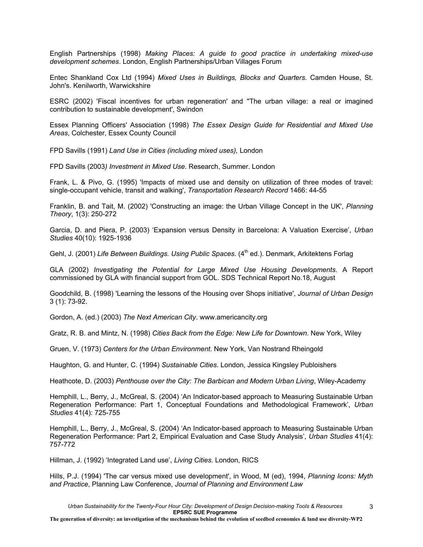English Partnerships (1998) *Making Places: A guide to good practice in undertaking mixed-use development schemes*. London, English Partnerships/Urban Villages Forum

Entec Shankland Cox Ltd (1994) *Mixed Uses in Buildings, Blocks and Quarters*. Camden House, St. John's. Kenilworth, Warwickshire

ESRC (2002) 'Fiscal incentives for urban regeneration' and ''The urban village: a real or imagined contribution to sustainable development', Swindon

Essex Planning Officers' Association (1998) *The Essex Design Guide for Residential and Mixed Use Areas*, Colchester, Essex County Council

FPD Savills (1991) *Land Use in Cities (including mixed uses),* London

FPD Savills (2003*) Investment in Mixed Use*. Research, Summer. London

Frank, L. & Pivo, G. (1995) 'Impacts of mixed use and density on utilization of three modes of travel: single-occupant vehicle, transit and walking', *Transportation Research Record* 1466: 44-55

Franklin, B. and Tait, M. (2002) 'Constructing an image: the Urban Village Concept in the UK', *Planning Theory*, 1(3): 250-272

Garcia, D. and Piera, P. (2003) 'Expansion versus Density in Barcelona: A Valuation Exercise', *Urban Studies* 40(10): 1925-1936

Gehl, J. (2001) *Life Between Buildings. Using Public Spaces.* (4<sup>th</sup> ed.). Denmark, Arkitektens Forlag

GLA (2002) *Investigating the Potential for Large Mixed Use Housing Developments*. A Report commissioned by GLA with financial support from GOL. SDS Technical Report No.18, August

Goodchild, B. (1998) 'Learning the lessons of the Housing over Shops initiative', *Journal of Urban Design* 3 (1): 73-92.

Gordon, A. (ed.) (2003) *The Next American City*. www.americancity.org

Gratz, R. B. and Mintz, N. (1998) *Cities Back from the Edge: New Life for Downtown*. New York, Wiley

Gruen, V. (1973) *Centers for the Urban Environment*. New York, Van Nostrand Rheingold

Haughton, G. and Hunter, C. (1994) *Sustainable Cities*. London, Jessica Kingsley Publoishers

Heathcote, D. (2003) *Penthouse over the City: The Barbican and Modern Urban Living*, Wiley-Academy

Hemphill, L., Berry, J., McGreal, S. (2004) 'An Indicator-based approach to Measuring Sustainable Urban Regeneration Performance: Part 1, Conceptual Foundations and Methodological Framework', *Urban Studies* 41(4): 725-755

Hemphill, L., Berry, J., McGreal, S. (2004) 'An Indicator-based approach to Measuring Sustainable Urban Regeneration Performance: Part 2, Empirical Evaluation and Case Study Analysis', *Urban Studies* 41(4): 757-772

Hillman, J. (1992) 'Integrated Land use', *Living Cities*. London, RICS

Hills, P.J. (1994) 'The car versus mixed use development', in Wood, M (ed), 1994, *Planning Icons: Myth and Practice*, Planning Law Conference, *Journal of Planning and Environment Law*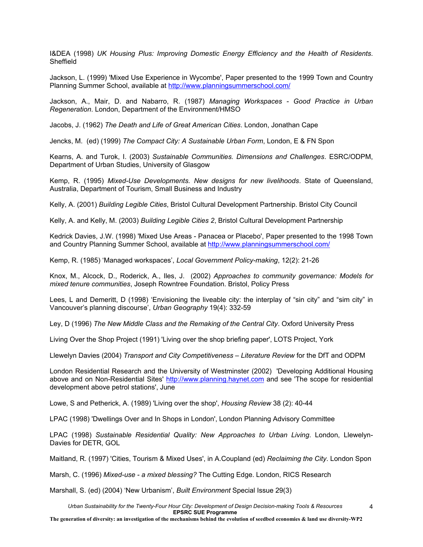I&DEA (1998) *UK Housing Plus: Improving Domestic Energy Efficiency and the Health of Residents*. Sheffield

Jackson, L. (1999) 'Mixed Use Experience in Wycombe', Paper presented to the 1999 Town and Country Planning Summer School, available at http://www.planningsummerschool.com/

Jackson, A., Mair, D. and Nabarro, R. (1987) *Managing Workspaces - Good Practice in Urban Regeneration*. London, Department of the Environment/HMSO

Jacobs, J. (1962) *The Death and Life of Great American Cities*. London, Jonathan Cape

Jencks, M. (ed) (1999) *The Compact City: A Sustainable Urban Form*, London, E & FN Spon

Kearns, A. and Turok, I. (2003) *Sustainable Communities. Dimensions and Challenges*. ESRC/ODPM, Department of Urban Studies, University of Glasgow

Kemp, R. (1995) *Mixed-Use Developments. New designs for new livelihoods*. State of Queensland, Australia, Department of Tourism, Small Business and Industry

Kelly, A. (2001) *Building Legible Cities*, Bristol Cultural Development Partnership. Bristol City Council

Kelly, A. and Kelly, M. (2003) *Building Legible Cities 2*, Bristol Cultural Development Partnership

Kedrick Davies, J.W. (1998) 'Mixed Use Areas - Panacea or Placebo', Paper presented to the 1998 Town and Country Planning Summer School, available at http://www.planningsummerschool.com/

Kemp, R. (1985) 'Managed workspaces', *Local Government Policy-making*, 12(2): 21-26

Knox, M., Alcock, D., Roderick, A., Iles, J. (2002) *Approaches to community governance: Models for mixed tenure communities*, Joseph Rowntree Foundation. Bristol, Policy Press

Lees, L and Demeritt, D (1998) 'Envisioning the liveable city: the interplay of "sin city" and "sim city" in Vancouver's planning discourse', *Urban Geography* 19(4): 332-59

Ley, D (1996) *The New Middle Class and the Remaking of the Central City*. Oxford University Press

Living Over the Shop Project (1991) 'Living over the shop briefing paper', LOTS Project, York

Llewelyn Davies (2004) *Transport and City Competitiveness – Literature Review* for the DfT and ODPM

London Residential Research and the University of Westminster (2002) 'Developing Additional Housing above and on Non-Residential Sites' http://www.planning.haynet.com and see 'The scope for residential development above petrol stations', June

Lowe, S and Petherick, A. (1989) 'Living over the shop', *Housing Review* 38 (2): 40-44

LPAC (1998) 'Dwellings Over and In Shops in London', London Planning Advisory Committee

LPAC (1998) *Sustainable Residential Quality: New Approaches to Urban Living*. London, Llewelyn-Davies for DETR, GOL

Maitland, R. (1997) 'Cities, Tourism & Mixed Uses', in A.Coupland (ed) *Reclaiming the City*. London Spon

Marsh, C. (1996) *Mixed-use - a mixed blessing?* The Cutting Edge. London, RICS Research

Marshall, S. (ed) (2004) 'New Urbanism', *Built Environment* Special Issue 29(3)

*Urban Sustainability for the Twenty-Four Hour City: Development of Design Decision-making Tools & Resources* **EPSRC SUE Programme**

**The generation of diversity: an investigation of the mechanisms behind the evolution of seedbed economies & land use diversity-WP2**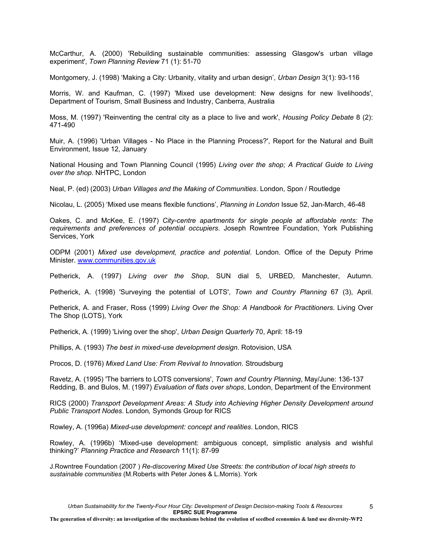McCarthur, A. (2000) 'Rebuilding sustainable communities: assessing Glasgow's urban village experiment', *Town Planning Review* 71 (1): 51-70

Montgomery, J. (1998) 'Making a City: Urbanity, vitality and urban design', *Urban Design* 3(1): 93-116

Morris, W. and Kaufman, C. (1997) 'Mixed use development: New designs for new livelihoods', Department of Tourism, Small Business and Industry, Canberra, Australia

Moss, M. (1997) 'Reinventing the central city as a place to live and work', *Housing Policy Debate* 8 (2): 471-490

Muir, A. (1996) 'Urban Villages - No Place in the Planning Process?', Report for the Natural and Built Environment, Issue 12, January

National Housing and Town Planning Council (1995) *Living over the shop; A Practical Guide to Living over the shop*. NHTPC, London

Neal, P. (ed) (2003) *Urban Villages and the Making of Communities*. London, Spon / Routledge

Nicolau, L. (2005) 'Mixed use means flexible functions', *Planning in London* Issue 52, Jan-March, 46-48

Oakes, C. and McKee, E. (1997) *City-centre apartments for single people at affordable rents: The requirements and preferences of potential occupiers*. Joseph Rowntree Foundation, York Publishing Services, York

ODPM (2001) *Mixed use development, practice and potential*. London. Office of the Deputy Prime Minister. www.communities.gov.uk

Petherick, A. (1997) *Living over the Shop*, SUN dial 5, URBED, Manchester, Autumn.

Petherick, A. (1998) 'Surveying the potential of LOTS', *Town and Country Planning* 67 (3), April.

Petherick, A. and Fraser, Ross (1999) *Living Over the Shop: A Handbook for Practitioners*. Living Over The Shop (LOTS), York

Petherick, A. (1999) 'Living over the shop', *Urban Design Quarterly* 70, April: 18-19

Phillips, A. (1993) *The best in mixed-use development design*. Rotovision, USA

Procos, D. (1976) *Mixed Land Use: From Revival to Innovation*. Stroudsburg

Ravetz, A. (1995) 'The barriers to LOTS conversions', *Town and Country Planning*, May/June: 136-137 Redding, B. and Bulos, M. (1997) *Evaluation of flats over shops*, London, Department of the Environment

RICS (2000) *Transport Development Areas: A Study into Achieving Higher Density Development around Public Transport Nodes*. London*,* Symonds Group for RICS

Rowley, A. (1996a) *Mixed-use development: concept and realities*. London, RICS

Rowley, A. (1996b) 'Mixed-use development: ambiguous concept, simplistic analysis and wishful thinking?' *Planning Practice and Research* 11(1): 87-99

J.Rowntree Foundation (2007 ) *Re-discovering Mixed Use Streets: the contribution of local high streets to sustainable communities* (M.Roberts with Peter Jones & L.Morris). York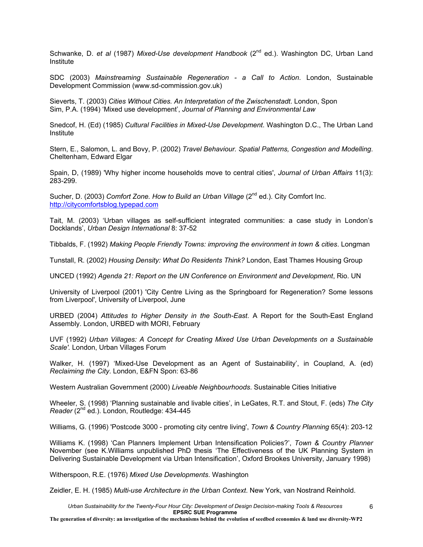Schwanke, D. *et al* (1987) *Mixed-Use development Handbook* (2<sup>nd</sup> ed.). Washington DC, Urban Land Institute

SDC (2003) *Mainstreaming Sustainable Regeneration - a Call to Action*. London, Sustainable Development Commission (www.sd-commission.gov.uk)

Sieverts, T. (2003) *Cities Without Cities. An Interpretation of the Zwischenstadt*. London, Spon Sim, P.A. (1994) 'Mixed use development', *Journal of Planning and Environmental Law*

Snedcof, H. (Ed) (1985) *Cultural Facilities in Mixed-Use Development*. Washington D.C., The Urban Land Institute

Stern, E., Salomon, L. and Bovy, P. (2002) *Travel Behaviour. Spatial Patterns, Congestion and Modelling*. Cheltenham, Edward Elgar

Spain, D, (1989) 'Why higher income households move to central cities', *Journal of Urban Affairs* 11(3): 283-299.

Sucher, D. (2003) *Comfort Zone. How to Build an Urban Village* (2<sup>nd</sup> ed.). City Comfort Inc. http://citycomfortsblog.typepad.com

Tait, M. (2003) 'Urban villages as self-sufficient integrated communities: a case study in London's Docklands', *Urban Design International* 8: 37-52

Tibbalds, F. (1992) *Making People Friendly Towns: improving the environment in town & cities*. Longman

Tunstall, R. (2002) *Housing Density: What Do Residents Think?* London, East Thames Housing Group

UNCED (1992) *Agenda 21: Report on the UN Conference on Environment and Development*, Rio. UN

University of Liverpool (2001) 'City Centre Living as the Springboard for Regeneration? Some lessons from Liverpool', University of Liverpool, June

URBED (2004) *Attitudes to Higher Density in the South-East*. A Report for the South-East England Assembly. London, URBED with MORI, February

UVF (1992) *Urban Villages: A Concept for Creating Mixed Use Urban Developments on a Sustainable Scale'.* London, Urban Villages Forum

Walker, H. (1997) 'Mixed-Use Development as an Agent of Sustainability', in Coupland, A. (ed) *Reclaiming the City*. London, E&FN Spon: 63-86

Western Australian Government (2000) *Liveable Neighbourhoods*. Sustainable Cities Initiative

Wheeler, S. (1998) 'Planning sustainable and livable cities', in LeGates, R.T. and Stout, F. (eds) *The City Reader* (2<sup>nd</sup> ed.). London, Routledge: 434-445

Williams, G. (1996) 'Postcode 3000 - promoting city centre living', *Town & Country Planning* 65(4): 203-12

Williams K. (1998) 'Can Planners Implement Urban Intensification Policies?', *Town & Country Planner* November (see K.Williams unpublished PhD thesis 'The Effectiveness of the UK Planning System in Delivering Sustainable Development via Urban Intensification', Oxford Brookes University, January 1998)

Witherspoon, R.E. (1976) *Mixed Use Developments*. Washington

Zeidler, E. H. (1985) *Multi-use Architecture in the Urban Context*. New York, van Nostrand Reinhold.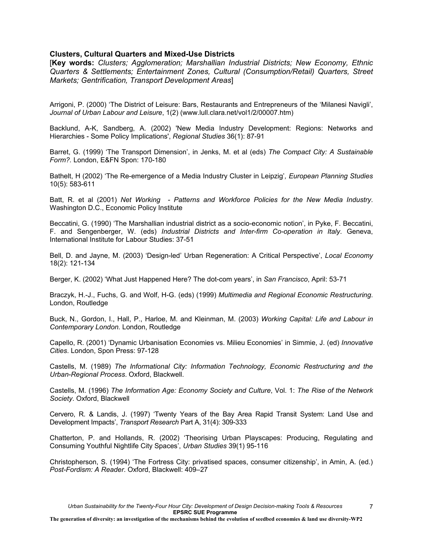## **Clusters, Cultural Quarters and Mixed-Use Districts**

[**Key words:** *Clusters; Agglomeration; Marshallian Industrial Districts; New Economy, Ethnic Quarters & Settlements; Entertainment Zones, Cultural (Consumption/Retail) Quarters, Street Markets; Gentrification, Transport Development Areas*]

Arrigoni, P. (2000) 'The District of Leisure: Bars, Restaurants and Entrepreneurs of the 'Milanesi Navigli', *Journal of Urban Labour and Leisure*, 1(2) (www.lull.clara.net/vol1/2/00007.htm)

Backlund, A-K, Sandberg, A. (2002) 'New Media Industry Development: Regions: Networks and Hierarchies - Some Policy Implications', *Regional Studies* 36(1): 87-91

Barret, G. (1999) 'The Transport Dimension', in Jenks, M. et al (eds) *The Compact City: A Sustainable Form?.* London, E&FN Spon: 170-180

Bathelt, H (2002) 'The Re-emergence of a Media Industry Cluster in Leipzig'*, European Planning Studies* 10(5): 583-611

Batt, R. et al (2001) *Net Working - Patterns and Workforce Policies for the New Media Industry*. Washington D.C., Economic Policy Institute

Beccatini, G. (1990) 'The Marshallian industrial district as a socio-economic notion', in Pyke, F. Beccatini, F. and Sengenberger, W. (eds) *Industrial Districts and Inter-firm Co-operation in Italy*. Geneva, International Institute for Labour Studies: 37-51

Bell, D. and Jayne, M. (2003) 'Design-led' Urban Regeneration: A Critical Perspective', *Local Economy* 18(2): 121-134

Berger, K. (2002) 'What Just Happened Here? The dot-com years', in *San Francisco*, April: 53-71

Braczyk, H.-J., Fuchs, G. and Wolf, H-G. (eds) (1999) *Multimedia and Regional Economic Restructuring*. London, Routledge

Buck, N., Gordon, I., Hall, P., Harloe, M. and Kleinman, M. (2003) *Working Capital: Life and Labour in Contemporary London.* London, Routledge

Capello, R. (2001) 'Dynamic Urbanisation Economies vs. Milieu Economies' in Simmie, J. (ed) *Innovative Cities*. London, Spon Press: 97-128

Castells, M. (1989) *The Informational City: Information Technology, Economic Restructuring and the Urban-Regional Process*. Oxford, Blackwell.

Castells, M. (1996) *The Information Age: Economy Society and Culture*, Vol. 1: *The Rise of the Network Society*. Oxford, Blackwell

Cervero, R. & Landis, J. (1997) 'Twenty Years of the Bay Area Rapid Transit System: Land Use and Development Impacts', *Transport Research* Part A, 31(4): 309-333

Chatterton, P. and Hollands, R. (2002) 'Theorising Urban Playscapes: Producing, Regulating and Consuming Youthful Nightlife City Spaces', *Urban Studies* 39(1) 95-116

Christopherson, S. (1994) 'The Fortress City: privatised spaces, consumer citizenship', in Amin, A. (ed.) *Post-Fordism: A Reader*. Oxford, Blackwell: 409–27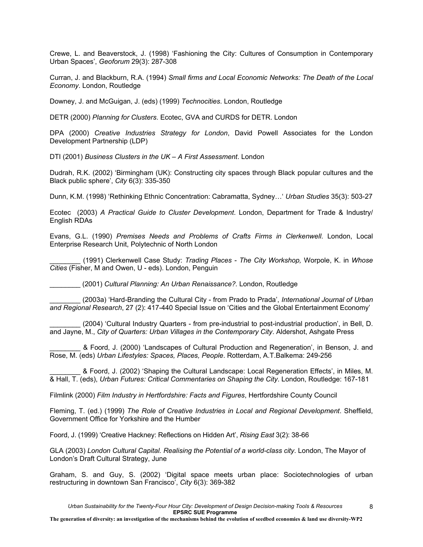Crewe, L. and Beaverstock, J. (1998) 'Fashioning the City: Cultures of Consumption in Contemporary Urban Spaces', *Geoforum* 29(3): 287-308

Curran, J. and Blackburn, R.A. (1994) *Small firms and Local Economic Networks: The Death of the Local Economy*. London, Routledge

Downey, J. and McGuigan, J. (eds) (1999) *Technocities*. London, Routledge

DETR (2000) *Planning for Clusters*. Ecotec, GVA and CURDS for DETR. London

DPA (2000) *Creative Industries Strategy for London*, David Powell Associates for the London Development Partnership (LDP)

DTI (2001) *Business Clusters in the UK – A First Assessment*. London

Dudrah, R.K. (2002) 'Birmingham (UK): Constructing city spaces through Black popular cultures and the Black public sphere', *City* 6(3): 335-350

Dunn, K.M. (1998) 'Rethinking Ethnic Concentration: Cabramatta, Sydney…' *Urban Studies* 35(3): 503-27

Ecotec (2003) *A Practical Guide to Cluster Development*. London, Department for Trade & Industry/ English RDAs

Evans, G.L. (1990) *Premises Needs and Problems of Crafts Firms in Clerkenwell*. London, Local Enterprise Research Unit, Polytechnic of North London

\_\_\_\_\_\_\_\_ (1991) Clerkenwell Case Study: *Trading Places - The City Workshop,* Worpole, K. in *Whose Cities* (Fisher, M and Owen, U - eds). London, Penguin

\_\_\_\_\_\_\_\_ (2001) *Cultural Planning: An Urban Renaissance?.* London, Routledge

\_\_\_\_\_\_\_\_ (2003a) 'Hard-Branding the Cultural City - from Prado to Prada', *International Journal of Urban and Regional Research*, 27 (2): 417-440 Special Issue on 'Cities and the Global Entertainment Economy'

\_\_\_\_\_\_\_\_ (2004) 'Cultural Industry Quarters - from pre-industrial to post-industrial production', in Bell, D. and Jayne, M., *City of Quarters: Urban Villages in the Contemporary City*. Aldershot, Ashgate Press

\_\_\_\_\_\_\_\_ & Foord, J. (2000) 'Landscapes of Cultural Production and Regeneration', in Benson, J. and Rose, M. (eds) *Urban Lifestyles: Spaces, Places, People*. Rotterdam, A.T.Balkema: 249-256

\_\_\_\_\_\_\_\_ & Foord, J. (2002) 'Shaping the Cultural Landscape: Local Regeneration Effects', in Miles, M. & Hall, T. (eds), *Urban Futures: Critical Commentaries on Shaping the City*. London, Routledge: 167-181

Filmlink (2000) *Film Industry in Hertfordshire: Facts and Figures*, Hertfordshire County Council

Fleming, T. (ed.) (1999) *The Role of Creative Industries in Local and Regional Development*. Sheffield, Government Office for Yorkshire and the Humber

Foord, J. (1999) 'Creative Hackney: Reflections on Hidden Art', *Rising East* 3(2): 38-66

GLA (2003) *London Cultural Capital. Realising the Potential of a world-class city*. London, The Mayor of London's Draft Cultural Strategy, June

Graham, S. and Guy, S. (2002) 'Digital space meets urban place: Sociotechnologies of urban restructuring in downtown San Francisco', *City* 6(3): 369-382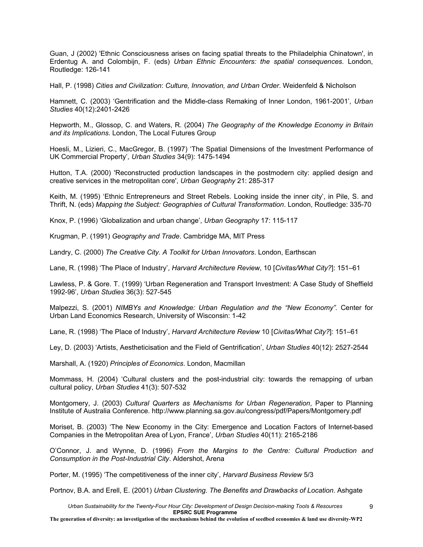Guan, J (2002) 'Ethnic Consciousness arises on facing spatial threats to the Philadelphia Chinatown', in Erdentug A. and Colombijn, F. (eds) *Urban Ethnic Encounters: the spatial consequences.* London, Routledge: 126-141

Hall, P. (1998) *Cities and Civilization*: *Culture, Innovation, and Urban Order*. Weidenfeld & Nicholson

Hamnett, C. (2003) 'Gentrification and the Middle-class Remaking of Inner London, 1961-2001', *Urban Studies* 40(12):2401-2426

Hepworth, M., Glossop, C. and Waters, R. (2004) *The Geography of the Knowledge Economy in Britain and its Implications*. London, The Local Futures Group

Hoesli, M., Lizieri, C., MacGregor, B. (1997) 'The Spatial Dimensions of the Investment Performance of UK Commercial Property'*, Urban Studies* 34(9): 1475-1494

Hutton, T.A. (2000) 'Reconstructed production landscapes in the postmodern city: applied design and creative services in the metropolitan core', *Urban Geography* 21: 285-317

Keith, M. (1995) 'Ethnic Entrepreneurs and Street Rebels. Looking inside the inner city', in Pile, S. and Thrift, N. (eds) *Mapping the Subject: Geographies of Cultural Transformation*. London, Routledge: 335-70

Knox, P. (1996) 'Globalization and urban change', *Urban Geography* 17: 115-117

Krugman, P. (1991) *Geography and Trade*. Cambridge MA, MIT Press

Landry, C. (2000) *The Creative City. A Toolkit for Urban Innovators*. London, Earthscan

Lane, R. (1998) 'The Place of Industry', *Harvard Architecture Review*, 10 [*Civitas/What City?*]: 151–61

Lawless, P. & Gore. T. (1999) 'Urban Regeneration and Transport Investment: A Case Study of Sheffield 1992-96', *Urban Studies* 36(3): 527-545

Malpezzi, S. (2001) *NIMBYs and Knowledge: Urban Regulation and the "New Economy".* Center for Urban Land Economics Research, University of Wisconsin: 1-42

Lane, R. (1998) 'The Place of Industry', *Harvard Architecture Review* 10 [*Civitas/What City?*]: 151–61

Ley, D. (2003) 'Artists, Aestheticisation and the Field of Gentrification', *Urban Studies* 40(12): 2527-2544

Marshall, A. (1920) *Principles of Economics*. London, Macmillan

Mommass, H. (2004) 'Cultural clusters and the post-industrial city: towards the remapping of urban cultural policy, *Urban Studies* 41(3): 507-532

Montgomery, J. (2003) *Cultural Quarters as Mechanisms for Urban Regeneration*, Paper to Planning Institute of Australia Conference. http://www.planning.sa.gov.au/congress/pdf/Papers/Montgomery.pdf

Moriset, B. (2003) 'The New Economy in the City: Emergence and Location Factors of Internet-based Companies in the Metropolitan Area of Lyon, France', *Urban Studies* 40(11): 2165-2186

O'Connor, J. and Wynne, D. (1996) *From the Margins to the Centre: Cultural Production and Consumption in the Post-Industrial City*. Aldershot, Arena

Porter, M. (1995) 'The competitiveness of the inner city', *Harvard Business Review* 5/3

Portnov, B.A. and Erell, E. (2001) *Urban Clustering. The Benefits and Drawbacks of Location*. Ashgate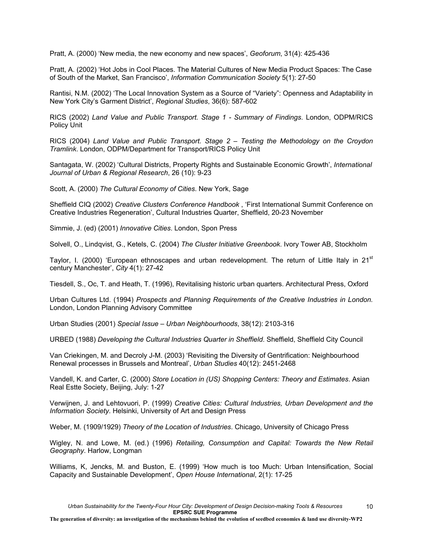Pratt, A. (2000) 'New media, the new economy and new spaces', *Geoforum*, 31(4): 425-436

Pratt, A. (2002) 'Hot Jobs in Cool Places. The Material Cultures of New Media Product Spaces: The Case of South of the Market, San Francisco', *Information Communication Society* 5(1): 27-50

Rantisi, N.M. (2002) 'The Local Innovation System as a Source of "Variety": Openness and Adaptability in New York City's Garment District', *Regional Studies*, 36(6): 587-602

RICS (2002) *Land Value and Public Transport. Stage 1 - Summary of Findings*. London, ODPM/RICS Policy Unit

RICS (2004) *Land Value and Public Transport. Stage 2 – Testing the Methodology on the Croydon Tramlink*. London, ODPM/Department for Transport/RICS Policy Unit

Santagata, W. (2002) 'Cultural Districts, Property Rights and Sustainable Economic Growth', *International Journal of Urban & Regional Research*, 26 (10): 9-23

Scott, A. (2000) *The Cultural Economy of Cities*. New York, Sage

Sheffield CIQ (2002) *Creative Clusters Conference Handbook* , 'First International Summit Conference on Creative Industries Regeneration', Cultural Industries Quarter, Sheffield, 20-23 November

Simmie, J. (ed) (2001) *Innovative Cities*. London, Spon Press

Solvell, O., Lindqvist, G., Ketels, C. (2004) *The Cluster Initiative Greenbook*. Ivory Tower AB, Stockholm

Taylor, I. (2000) 'European ethnoscapes and urban redevelopment. The return of Little Italy in  $21<sup>st</sup>$ century Manchester', *City* 4(1): 27-42

Tiesdell, S., Oc, T. and Heath, T. (1996), Revitalising historic urban quarters. Architectural Press, Oxford

Urban Cultures Ltd. (1994) *Prospects and Planning Requirements of the Creative Industries in London.* London, London Planning Advisory Committee

Urban Studies (2001) *Special Issue – Urban Neighbourhoods*, 38(12): 2103-316

URBED (1988) *Developing the Cultural Industries Quarter in Sheffield*. Sheffield, Sheffield City Council

Van Criekingen, M. and Decroly J-M. (2003) 'Revisiting the Diversity of Gentrification: Neighbourhood Renewal processes in Brussels and Montreal', *Urban Studies* 40(12): 2451-2468

Vandell, K. and Carter, C. (2000) *Store Location in (US) Shopping Centers: Theory and Estimates*. Asian Real Estte Society, Beijing, July: 1-27

Verwijnen, J. and Lehtovuori, P. (1999) *Creative Cities: Cultural Industries, Urban Development and the Information Society*. Helsinki, University of Art and Design Press

Weber, M. (1909/1929) *Theory of the Location of Industries*. Chicago, University of Chicago Press

Wigley, N. and Lowe, M. (ed.) (1996) *Retailing, Consumption and Capital: Towards the New Retail Geography*. Harlow, Longman

Williams, K, Jencks, M. and Buston, E. (1999) 'How much is too Much: Urban Intensification, Social Capacity and Sustainable Development', *Open House International*, 2(1): 17-25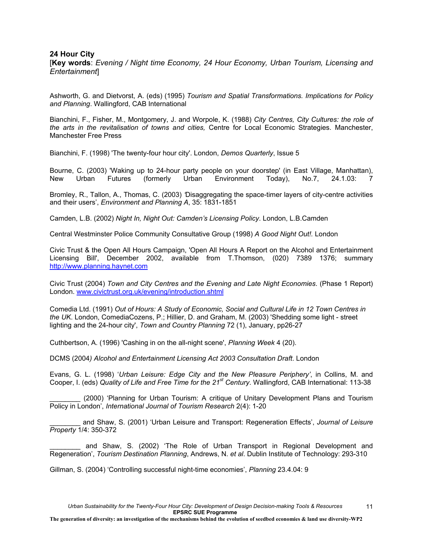## **24 Hour City**

[**Key words**: *Evening / Night time Economy, 24 Hour Economy, Urban Tourism, Licensing and Entertainment*]

Ashworth, G. and Dietvorst, A. (eds) (1995) *Tourism and Spatial Transformations. Implications for Policy and Planning*. Wallingford, CAB International

Bianchini, F., Fisher, M., Montgomery, J. and Worpole, K. (1988) *City Centres, City Cultures: the role of the arts in the revitalisation of towns and cities,* Centre for Local Economic Strategies. Manchester, Manchester Free Press

Bianchini, F. (1998) 'The twenty-four hour city'. London, *Demos Quarterly*, Issue 5

Bourne, C. (2003) 'Waking up to 24-hour party people on your doorstep' (in East Village, Manhattan), New Urban Futures (formerly Urban Environment Today), No.7, 24.1.03: 7

Bromley, R., Tallon, A., Thomas, C. (2003) *'*Disaggregating the space-timer layers of city-centre activities and their users', *Environment and Planning A*, 35: 1831-1851

Camden, L.B. (2002) *Night In, Night Out: Camden's Licensing Policy*. London, L.B.Camden

Central Westminster Police Community Consultative Group (1998) *A Good Night Out!.* London

Civic Trust & the Open All Hours Campaign, 'Open All Hours A Report on the Alcohol and Entertainment Licensing Bill', December 2002, available from T.Thomson, (020) 7389 1376; summary http://www.planning.haynet.com

Civic Trust (2004) *Town and City Centres and the Evening and Late Night Economies*. (Phase 1 Report) London. www.civictrust.org.uk/evening/introduction.shtml

Comedia Ltd. (1991) *Out of Hours: A Study of Economic, Social and Cultural Life in 12 Town Centres in the UK*. London, ComediaCozens, P.; Hillier, D. and Graham, M. (2003) 'Shedding some light - street lighting and the 24-hour city', *Town and Country Planning* 72 (1), January, pp26-27

Cuthbertson, A. (1996) 'Cashing in on the all-night scene', *Planning Week* 4 (20).

DCMS (2004*) Alcohol and Entertainment Licensing Act 2003 Consultation Draft*. London

Evans, G. L. (1998) '*Urban Leisure: Edge City and the New Pleasure Periphery'*, in Collins, M. and Cooper, I. (eds) *Quality of Life and Free Time for the 21st Century*. Wallingford, CAB International: 113-38

(2000) 'Planning for Urban Tourism: A critique of Unitary Development Plans and Tourism Policy in London', *International Journal of Tourism Research* 2(4): 1-20

\_\_\_\_\_\_\_\_ and Shaw, S. (2001) 'Urban Leisure and Transport: Regeneration Effects', *Journal of Leisure Property* 1/4: 350-372

and Shaw, S. (2002) 'The Role of Urban Transport in Regional Development and Regeneration', *Tourism Destination Planning*, Andrews, N. *et al*. Dublin Institute of Technology: 293-310

Gillman, S. (2004) 'Controlling successful night-time economies', *Planning* 23.4.04: 9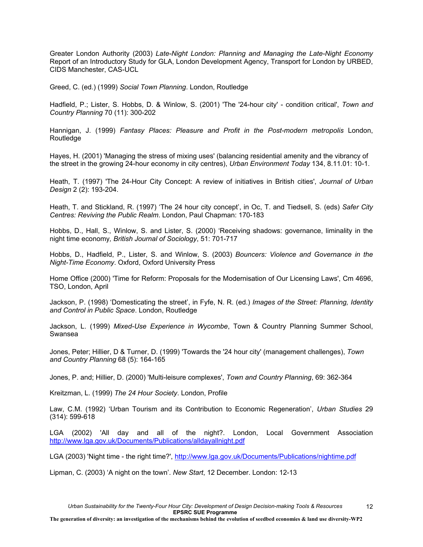Greater London Authority (2003) *Late-Night London: Planning and Managing the Late-Night Economy* Report of an Introductory Study for GLA, London Development Agency, Transport for London by URBED, CIDS Manchester, CAS-UCL

Greed, C. (ed.) (1999) *Social Town Planning*. London, Routledge

Hadfield, P.; Lister, S. Hobbs, D. & Winlow, S. (2001) 'The '24-hour city' - condition critical', *Town and Country Planning* 70 (11): 300-202

Hannigan, J. (1999) *Fantasy Places: Pleasure and Profit in the Post-modern metropolis* London, Routledge

Hayes, H. (2001) 'Managing the stress of mixing uses' (balancing residential amenity and the vibrancy of the street in the growing 24-hour economy in city centres), *Urban Environment Today* 134, 8.11.01: 10-1.

Heath, T. (1997) 'The 24-Hour City Concept: A review of initiatives in British cities', *Journal of Urban Design* 2 (2): 193-204.

Heath, T. and Stickland, R. (1997) 'The 24 hour city concept', in Oc, T. and Tiedsell, S. (eds) *Safer City Centres: Reviving the Public Realm*. London, Paul Chapman: 170-183

Hobbs, D., Hall, S., Winlow, S. and Lister, S. (2000) 'Receiving shadows: governance, liminality in the night time economy*, British Journal of Sociology*, 51: 701-717

Hobbs, D., Hadfield, P., Lister, S. and Winlow, S. (2003) *Bouncers: Violence and Governance in the Night-Time Economy*. Oxford, Oxford University Press

Home Office (2000) 'Time for Reform: Proposals for the Modernisation of Our Licensing Laws', Cm 4696, TSO, London, April

Jackson, P. (1998) 'Domesticating the street', in Fyfe, N. R. (ed.) *Images of the Street: Planning, Identity and Control in Public Space*. London, Routledge

Jackson, L. (1999) *Mixed-Use Experience in Wycombe*, Town & Country Planning Summer School, Swansea

Jones, Peter; Hillier, D & Turner, D. (1999) 'Towards the '24 hour city' (management challenges), *Town and Country Planning* 68 (5): 164-165

Jones, P. and; Hillier, D. (2000) 'Multi-leisure complexes', *Town and Country Planning*, 69: 362-364

Kreitzman, L. (1999) *The 24 Hour Society*. London, Profile

Law, C.M. (1992) 'Urban Tourism and its Contribution to Economic Regeneration', *Urban Studies* 29 (314): 599-618

LGA (2002) 'All day and all of the night?. London, Local Government Association http://www.lga.gov.uk/Documents/Publications/alldayallnight.pdf

LGA (2003) 'Night time - the right time?', http://www.lga.gov.uk/Documents/Publications/nightime.pdf

Lipman, C. (2003) 'A night on the town'. *New Start*, 12 December. London: 12-13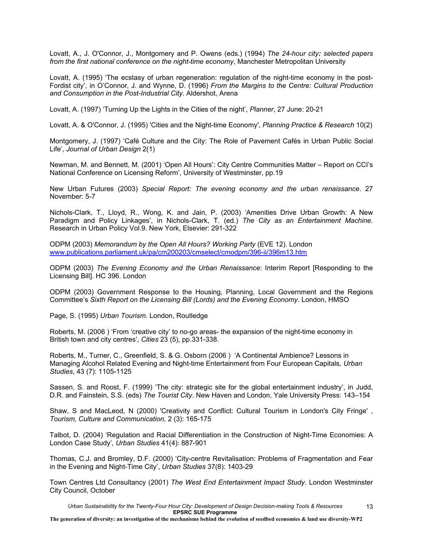Lovatt, A., J. O'Connor, J., Montgomery and P. Owens (eds.) (1994) *The 24-hour city: selected papers from the first national conference on the night-time economy*, Manchester Metropolitan University

Lovatt, A. (1995) 'The ecstasy of urban regeneration: regulation of the night-time economy in the post-Fordist city', in O'Connor, J. and Wynne, D. (1996) *From the Margins to the Centre: Cultural Production and Consumption in the Post-Industrial City*. Aldershot, Arena

Lovatt, A. (1997) 'Turning Up the Lights in the Cities of the night', *Planner*, 27 June: 20-21

Lovatt, A. & O'Connor, J. (1995) 'Cities and the Night-time Economy', *Planning Practice & Research* 10(2)

Montgomery, J. (1997) 'Café Culture and the City: The Role of Pavement Cafés in Urban Public Social Life', *Journal of Urban Design* 2(1)

Newman, M. and Bennett, M. (2001) 'Open All Hours': City Centre Communities Matter – Report on CCI's National Conference on Licensing Reform', University of Westminster, pp.19

New Urban Futures (2003) *Special Report: The evening economy and the urban renaissance*. 27 November: 5-7

Nichols-Clark, T., Lloyd, R., Wong, K. and Jain, P. (2003) 'Amenities Drive Urban Growth: A New Paradigm and Policy Linkages', in Nichols-Clark, T. (ed.) *The City as an Entertainment Machine*. Research in Urban Policy Vol.9. New York, Elsevier: 291-322

ODPM (2003) *Memorandum by the Open All Hours? Working Party* (EVE 12). London www.publications.parliament.uk/pa/cm200203/cmselect/cmodpm/396-ii/396m13.htm

ODPM (2003) *The Evening Economy and the Urban Renaissance*: Interim Report [Responding to the Licensing Bill]. HC 396. London

ODPM (2003) Government Response to the Housing, Planning, Local Government and the Regions Committee's *Sixth Report on the Licensing Bill (Lords) and the Evening Economy*. London, HMSO

Page, S. (1995) *Urban Tourism*. London, Routledge

Roberts, M. (2006 ) 'From 'creative city' to no-go areas- the expansion of the night-time economy in British town and city centres', *Cities* 23 (5), pp.331-338.

Roberts, M., Turner, C., Greenfield, S. & G. Osborn (2006 ) 'A Continental Ambience? Lessons in Managing Alcohol Related Evening and Night-time Entertainment from Four European Capitals*, Urban Studies*, 43 (7): 1105-1125

Sassen, S. and Roost, F. (1999) 'The city: strategic site for the global entertainment industry', in Judd, D.R. and Fainstein, S.S. (eds) *The Tourist City*. New Haven and London, Yale University Press: 143–154

Shaw, S and MacLeod, N (2000) 'Creativity and Conflict: Cultural Tourism in London's City Fringe' , *Tourism, Culture and Communication,* 2 (3): 165-175

Talbot, D. (2004) 'Regulation and Racial Differentiation in the Construction of Night-Time Economies: A London Case Study', *Urban Studies* 41(4): 887-901

Thomas, C.J. and Bromley, D.F. (2000) 'City-centre Revitalisation: Problems of Fragmentation and Fear in the Evening and Night-Time City', *Urban Studies* 37(8): 1403-29

Town Centres Ltd Consultancy (2001) *The West End Entertainment Impact Study*. London Westminster City Council, October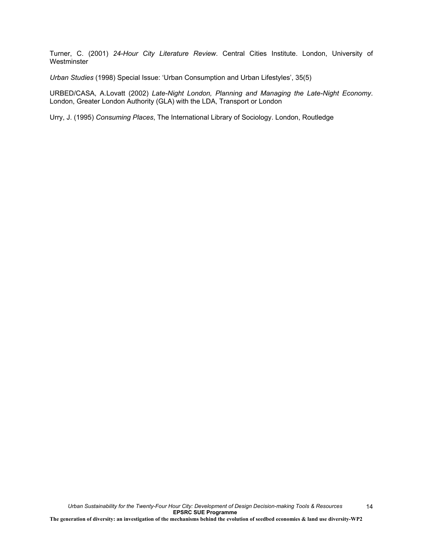Turner, C. (2001) *24-Hour City Literature Review*. Central Cities Institute. London, University of Westminster

*Urban Studies* (1998) Special Issue: 'Urban Consumption and Urban Lifestyles', 35(5)

URBED/CASA, A.Lovatt (2002) *Late-Night London, Planning and Managing the Late-Night Economy*. London, Greater London Authority (GLA) with the LDA, Transport or London

Urry, J. (1995) *Consuming Places*, The International Library of Sociology. London, Routledge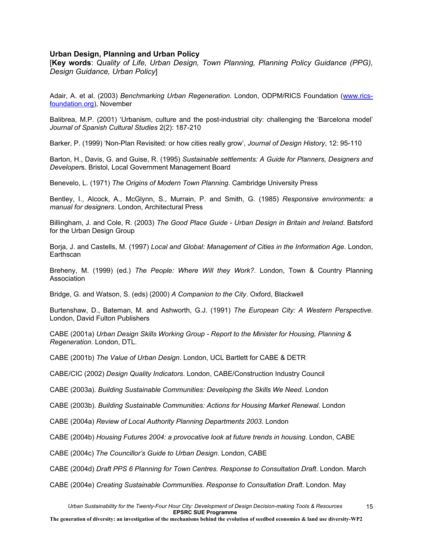### **Urban Design, Planning and Urban Policy**

[**Key words**: *Quality of Life, Urban Design, Town Planning, Planning Policy Guidance (PPG), Design Guidance, Urban Policy*]

Adair, A. et al. (2003) *Benchmarking Urban Regeneration*. London, ODPM/RICS Foundation (www.ricsfoundation.org), November

Balibrea, M.P. (2001) 'Urbanism, culture and the post-industrial city: challenging the 'Barcelona model' *Journal of Spanish Cultural Studies* 2(2): 187-210

Barker, P. (1999) 'Non-Plan Revisited: or how cities really grow', *Journal of Design History*, 12: 95-110

Barton, H., Davis, G. and Guise, R. (1995) *Sustainable settlements: A Guide for Planners, Designers and Developer*s. Bristol, Local Government Management Board

Benevelo, L. (1971) *The Origins of Modern Town Planning*. Cambridge University Press

Bentley, I., Alcock, A., McGlynn, S., Murrain, P. and Smith, G. (1985) *Responsive environments: a manual for designers*. London, Architectural Press

Billingham, J. and Cole, R. (2003) *The Good Place Guide - Urban Design in Britain and Ireland*. Batsford for the Urban Design Group

Borja, J. and Castells, M. (1997) *Local and Global: Management of Cities in the Information Age*. London, **Earthscan** 

Breheny, M. (1999) (ed.) *The People: Where Will they Work?.* London, Town & Country Planning Association

Bridge, G. and Watson, S. (eds) (2000) *A Companion to the City*. Oxford, Blackwell

Burtenshaw, D., Bateman, M. and Ashworth, G.J. (1991) *The European City: A Western Perspective*. London, David Fulton Publishers

CABE (2001a) *Urban Design Skills Working Group - Report to the Minister for Housing, Planning & Regeneration*. London, DTL.

CABE (2001b) *The Value of Urban Design*. London, UCL Bartlett for CABE & DETR

CABE/CIC (2002) *Design Quality Indicators*. London, CABE/Construction Industry Council

CABE (2003a). *Building Sustainable Communities: Developing the Skills We Need*. London

CABE (2003b). *Building Sustainable Communities: Actions for Housing Market Renewal*. London

CABE (2004a) *Review of Local Authority Planning Departments 2003*. London

CABE (2004b) *Housing Futures 2004: a provocative look at future trends in housing*. London, CABE

CABE (2004c) *The Councillor's Guide to Urban Design*. London, CABE

CABE (2004d) *Draft PPS 6 Planning for Town Centres. Response to Consultation Draft*. London. March

CABE (2004e) *Creating Sustainable Communities. Response to Consultation Draft*. London. May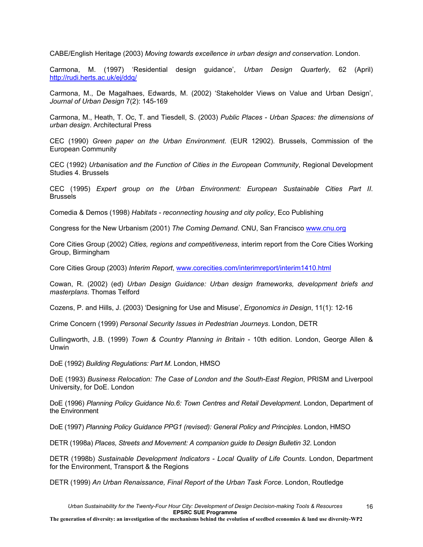CABE/English Heritage (2003) *Moving towards excellence in urban design and conservation*. London.

Carmona, M. (1997) 'Residential design guidance', *Urban Design Quarterly*, 62 (April) http://rudi.herts.ac.uk/ej/ddq/

Carmona, M., De Magalhaes, Edwards, M. (2002) 'Stakeholder Views on Value and Urban Design', *Journal of Urban Design* 7(2): 145-169

Carmona, M., Heath, T. Oc, T. and Tiesdell, S. (2003) *Public Places - Urban Spaces: the dimensions of urban design*. Architectural Press

CEC (1990) *Green paper on the Urban Environment*. (EUR 12902). Brussels, Commission of the European Community

CEC (1992) *Urbanisation and the Function of Cities in the European Community*, Regional Development Studies 4. Brussels

CEC (1995) *Expert group on the Urban Environment: European Sustainable Cities Part II*. **Brussels** 

Comedia & Demos (1998) *Habitats - reconnecting housing and city policy*, Eco Publishing

Congress for the New Urbanism (2001) *The Coming Demand*. CNU, San Francisco www.cnu.org

Core Cities Group (2002) *Cities, regions and competitiveness*, interim report from the Core Cities Working Group, Birmingham

Core Cities Group (2003) *Interim Report*, www.corecities.com/interimreport/interim1410.html

Cowan, R. (2002) (ed) *Urban Design Guidance: Urban design frameworks, development briefs and masterplans*. Thomas Telford

Cozens, P. and Hills, J. (2003) 'Designing for Use and Misuse', *Ergonomics in Design*, 11(1): 12-16

Crime Concern (1999) *Personal Security Issues in Pedestrian Journeys*. London, DETR

Cullingworth, J.B. (1999) *Town & Country Planning in Britain* - 10th edition. London, George Allen & Unwin

DoE (1992) *Building Regulations: Part M*. London, HMSO

DoE (1993) *Business Relocation: The Case of London and the South-East Region*, PRISM and Liverpool University, for DoE. London

DoE (1996) *Planning Policy Guidance No.6: Town Centres and Retail Development*. London, Department of the Environment

DoE (1997) *Planning Policy Guidance PPG1 (revised): General Policy and Principles*. London, HMSO

DETR (1998a) *Places, Streets and Movement: A companion guide to Design Bulletin 32*. London

DETR (1998b) *Sustainable Development Indicators - Local Quality of Life Counts*. London, Department for the Environment, Transport & the Regions

DETR (1999) *An Urban Renaissance, Final Report of the Urban Task Force*. London, Routledge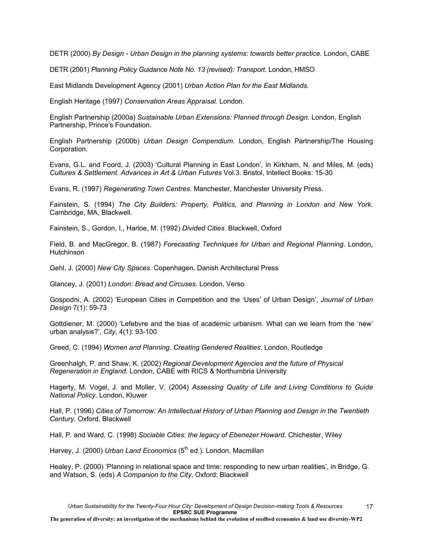DETR (2000) *By Design - Urban Design in the planning systems: towards better practice*. London, CABE

DETR (2001) *Planning Policy Guidance Note No. 13 (revised): Transport*. London, HMSO

East Midlands Development Agency (2001) *Urban Action Plan for the East Midlands.*

English Heritage (1997) *Conservation Areas Appraisal.* London.

English Partnership (2000a) *Sustainable Urban Extensions: Planned through Design.* London, English Partnership, Prince's Foundation.

English Partnership (2000b) *Urban Design Compendium.* London, English Partnership/The Housing Corporation.

Evans, G.L. and Foord, J. (2003) 'Cultural Planning in East London'*,* in Kirkham, N. and Miles, M. (eds) *Cultures & Settlement*. *Advances in Art & Urban Futures* Vol.3. Bristol, Intellect Books: 15-30

Evans, R. (1997) *Regenerating Town Centres*. Manchester, Manchester University Press.

Fainstein, S. (1994) *The City Builders: Property, Politics, and Planning in London and New York*. Cambridge, MA, Blackwell.

Fainstein, S., Gordon, I., Harloe, M. (1992) *Divided Cities*. Blackwell, Oxford

Field, B. and MacGregor, B. (1987) *Forecasting Techniques for Urban and Regional Planning*. London, Hutchinson

Gehl, J. (2000) *New City Spaces.* Copenhagen, Danish Architectural Press

Glancey, J. (2001) *London: Bread and Circuses*. London, Verso

Gospodni, A. (2002) 'European Cities in Competition and the 'Uses' of Urban Design', *Journal of Urban Design* 7(1): 59-73

Gottdiener, M. (2000) 'Lefebvre and the bias of academic urbanism. What can we learn from the 'new' urban analysis?', *City*, 4(1): 93-100

Greed, C. (1994) *Women and Planning. Creating Gendered Realities*. London, Routledge

Greenhalgh, P. and Shaw, K. (2002) *Regional Development Agencies and the future of Physical Regeneration in England*. London, CABE with RICS & Northumbria University

Hagerty, M. Vogel, J. and Moller, V. (2004) *Assessing Quality of Life and Living Conditions to Guide National Policy*. London, Kluwer

Hall, P. (1996) *Cities of Tomorrow: An Intellectual History of Urban Planning and Design in the Twentieth Century*. Oxford, Blackwell

Hall, P. and Ward, C. (1998) *Sociable Cities: the legacy of Ebenezer Howard*. Chichester, Wiley

Harvey, J. (2000) *Urban Land Economics* (5<sup>th</sup> ed.). London, Macmillan

Healey, P. (2000) 'Planning in relational space and time: responding to new urban realities', in Bridge, G. and Watson, S. (eds) *A Companion to the City*, Oxford: Blackwell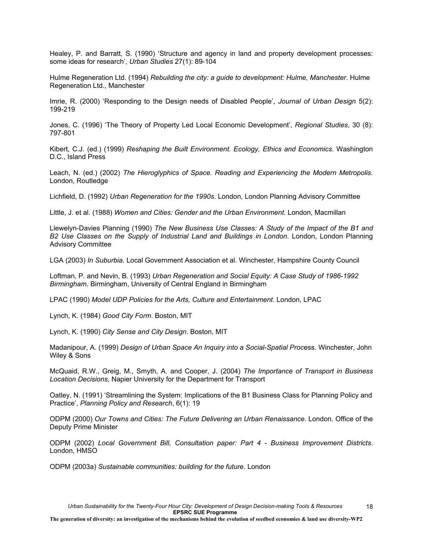Healey, P. and Barratt, S. (1990) 'Structure and agency in land and property development processes: some ideas for research', *Urban Studies* 27(1): 89-104

Hulme Regeneration Ltd. (1994) *Rebuilding the city: a guide to development: Hulme, Manchester*. Hulme Regeneration Ltd., Manchester

Imrie, R. (2000) 'Responding to the Design needs of Disabled People', *Journal of Urban Design* 5(2): 199-219

Jones, C. (1996) 'The Theory of Property Led Local Economic Development', *Regional Studies*, 30 (8): 797-801

Kibert, C.J. (ed.) (1999) *Reshaping the Built Environment. Ecology, Ethics and Economics*. Washington D.C., Island Press

Leach, N. (ed.) (2002) *The Hieroglyphics of Space. Reading and Experiencing the Modern Metropolis*. London, Routledge

Lichfield, D. (1992) *Urban Regeneration for the 1990s*. London, London Planning Advisory Committee

Little, J. et al. (1988) *Women and Cities: Gender and the Urban Environment*. London, Macmillan

Llewelyn-Davies Planning (1990) *The New Business Use Classes: A Study of the Impact of the B1 and B2 Use Classes on the Supply of Industrial Land and Buildings in London*. London, London Planning Advisory Committee

LGA (2003) *In Suburbia*. Local Government Association et al. Winchester, Hampshire County Council

Loftman, P. and Nevin, B. (1993) *Urban Regeneration and Social Equity: A Case Study of 1986-1992 Birmingham*. Birmingham, University of Central England in Birmingham

LPAC (1990) *Model UDP Policies for the Arts, Culture and Entertainment*. London, LPAC

Lynch, K. (1984) *Good City Form*. Boston, MIT

Lynch, K. (1990) *City Sense and City Design*. Boston, MIT

Madanipour, A. (1999) *Design of Urban Space An Inquiry into a Social-Spatial Proc*ess. Winchester, John Wiley & Sons

McQuaid, R.W., Greig, M., Smyth, A. and Cooper, J. (2004) *The Importance of Transport in Business Location Decisions*, Napier University for the Department for Transport

Oatley, N. (1991) 'Streamlining the System: Implications of the B1 Business Class for Planning Policy and Practice', *Planning Policy and Research*, 6(1): 19

ODPM (2000) *Our Towns and Cities: The Future Delivering an Urban Renaissance*. London. Office of the Deputy Prime Minister

ODPM (2002) *Local Government Bill, Consultation paper: Part 4 - Business Improvement Districts*. London, HMSO

ODPM (2003a) *Sustainable communities: building for the future*. London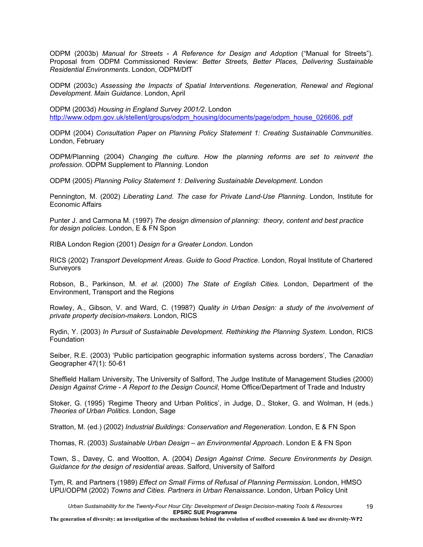ODPM (2003b) *Manual for Streets - A Reference for Design and Adoption* ("Manual for Streets"). Proposal from ODPM Commissioned Review: *Better Streets, Better Places, Delivering Sustainable Residential Environments*. London, ODPM/DfT

ODPM (2003c) *Assessing the Impacts of Spatial Interventions. Regeneration, Renewal and Regional Development. Main Guidance*. London, April

ODPM (2003d) *Housing in England Survey 2001/2*. London http://www.odpm.gov.uk/stellent/groups/odpm\_housing/documents/page/odpm\_house\_026606. pdf

ODPM (2004) *Consultation Paper on Planning Policy Statement 1: Creating Sustainable Communities*. London, February

ODPM/Planning (2004) *Changing the culture. How the planning reforms are set to reinvent the profession*. ODPM Supplement to *Planning*. London

ODPM (2005) *Planning Policy Statement 1: Delivering Sustainable Development*. London

Pennington, M. (2002) *Liberating Land. The case for Private Land-Use Planning*. London, Institute for Economic Affairs

Punter J. and Carmona M. (1997) *The design dimension of planning: theory, content and best practice for design policies*. London, E & FN Spon

RIBA London Region (2001) *Design for a Greater London.* London

RICS (2002) *Transport Development Areas. Guide to Good Practice*. London, Royal Institute of Chartered Surveyors

Robson, B., Parkinson, M. *et al*. (2000) *The State of English Cities.* London, Department of the Environment, Transport and the Regions

Rowley, A., Gibson, V. and Ward, C. (1998?) *Quality in Urban Design: a study of the involvement of private property decision-makers*. London, RICS

Rydin, Y. (2003) *In Pursuit of Sustainable Development. Rethinking the Planning System*. London, RICS Foundation

Seiber, R.E. (2003) 'Public participation geographic information systems across borders', The *Canadian*  Geographer 47(1): 50-61

Sheffield Hallam University, The University of Salford, The Judge Institute of Management Studies (2000) *Design Against Crime - A Report to the Design Council*, Home Office/Department of Trade and Industry

Stoker, G. (1995) 'Regime Theory and Urban Politics', in Judge, D., Stoker, G. and Wolman, H (eds.) *Theories of Urban Politics*. London, Sage

Stratton, M. (ed.) (2002) *Industrial Buildings: Conservation and Regeneration*. London, E & FN Spon

Thomas, R. (2003) *Sustainable Urban Design – an Environmental Approach*. London E & FN Spon

Town, S., Davey, C. and Wootton, A. (2004) *Design Against Crime. Secure Environments by Design. Guidance for the design of residential areas*. Salford, University of Salford

Tym, R. and Partners (1989) *Effect on Small Firms of Refusal of Planning Permission*. London, HMSO UPU/ODPM (2002) *Towns and Cities. Partners in Urban Renaissance*. London, Urban Policy Unit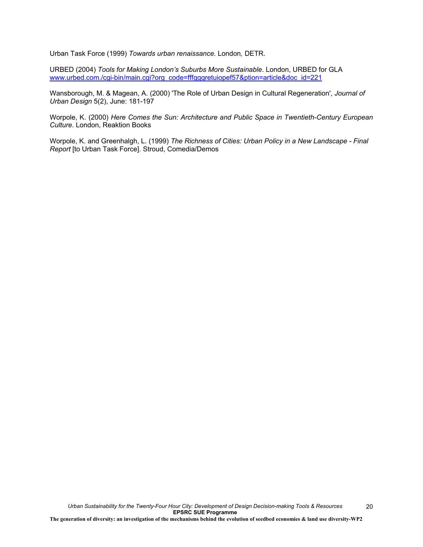Urban Task Force (1999) *Towards urban renaissance.* London*,* DETR.

URBED (2004) *Tools for Making London's Suburbs More Sustainable*. London, URBED for GLA www.urbed.com./cgi-bin/main.cgi?org\_code=fffgggretuiopef57&ption=article&doc\_id=221

Wansborough, M. & Magean, A. (2000) 'The Role of Urban Design in Cultural Regeneration', *Journal of Urban Design* 5(2), June: 181-197

Worpole, K. (2000) *Here Comes the Sun: Architecture and Public Space in Twentieth-Century European Culture*. London, Reaktion Books

Worpole, K. and Greenhalgh, L. (1999) *The Richness of Cities: Urban Policy in a New Landscape - Final Report* [to Urban Task Force]. Stroud, Comedia/Demos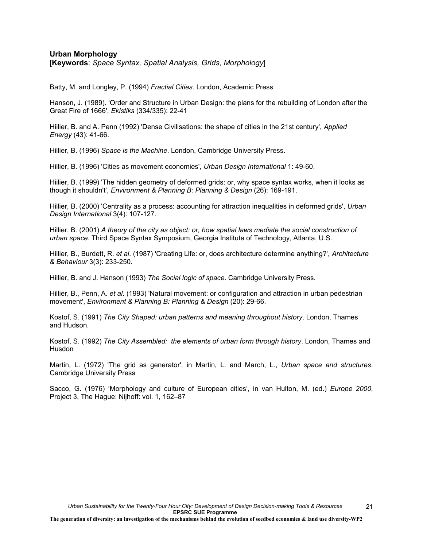## **Urban Morphology**

[**Keywords**: *Space Syntax, Spatial Analysis, Grids, Morphology*]

Batty, M. and Longley, P. (1994) *Fractial Cities*. London, Academic Press

Hanson, J. (1989). 'Order and Structure in Urban Design: the plans for the rebuilding of London after the Great Fire of 1666', *Ekistiks* (334/335): 22-41

Hiilier, B. and A. Penn (1992) 'Dense Civilisations: the shape of cities in the 21st century', *Applied Energy* (43): 41-66.

Hillier, B. (1996) *Space is the Machine*. London, Cambridge University Press.

Hillier, B. (1996) 'Cities as movement economies', *Urban Design International* 1: 49-60.

Hiilier, B. (1999) 'The hidden geometry of deformed grids: or, why space syntax works, when it looks as though it shouldn't', *Environment & Planning B: Planning & Design* (26): 169-191.

Hillier, B. (2000) 'Centrality as a process: accounting for attraction inequalities in deformed grids', *Urban Design International* 3(4): 107-127.

Hillier, B. (2001) *A theory of the city as object: or, how spatial laws mediate the social construction of urban space*. Third Space Syntax Symposium, Georgia Institute of Technology, Atlanta, U.S.

Hillier, B., Burdett, R. *et al*. (1987) 'Creating Life: or, does architecture determine anything?', *Architecture & Behaviour* 3(3): 233-250.

Hillier, B. and J. Hanson (1993) *The Social logic of space*. Cambridge University Press.

Hillier, B., Penn, A. *et al*. (1993) 'Natural movement: or configuration and attraction in urban pedestrian movement', *Environment & Planning B: Planning & Design* (20): 29-66.

Kostof, S. (1991) *The City Shaped: urban patterns and meaning throughout history*. London, Thames and Hudson.

Kostof, S. (1992) *The City Assembled: the elements of urban form through history*. London, Thames and Husdon

Martin, L. (1972) 'The grid as generator', in Martin, L. and March, L., *Urban space and structures*. Cambridge University Press

Sacco, G. (1976) 'Morphology and culture of European cities', in van Hulton, M. (ed.) *Europe 2000*, Project 3, The Hague: Nijhoff: vol. 1, 162–87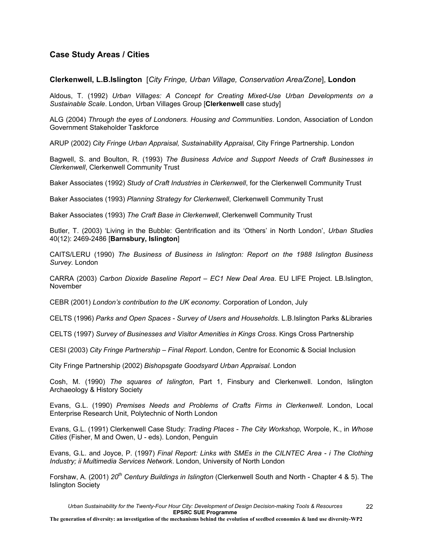# **Case Study Areas / Cities**

### **Clerkenwell, L.B.Islington** [*City Fringe, Urban Village, Conservation Area/Zone*], **London**

Aldous, T. (1992) *Urban Villages: A Concept for Creating Mixed-Use Urban Developments on a Sustainable Scale*. London, Urban Villages Group [**Clerkenwell** case study]

ALG (2004) *Through the eyes of Londoners. Housing and Communities*. London, Association of London Government Stakeholder Taskforce

ARUP (2002) *City Fringe Urban Appraisal, Sustainability Appraisal*, City Fringe Partnership. London

Bagwell, S. and Boulton, R. (1993) *The Business Advice and Support Needs of Craft Businesses in Clerkenwell*, Clerkenwell Community Trust

Baker Associates (1992) *Study of Craft Industries in Clerkenwell*, for the Clerkenwell Community Trust

Baker Associates (1993) *Planning Strategy for Clerkenwell*, Clerkenwell Community Trust

Baker Associates (1993) *The Craft Base in Clerkenwell*, Clerkenwell Community Trust

Butler, T. (2003) 'Living in the Bubble: Gentrification and its 'Others' in North London', *Urban Studies* 40(12): 2469-2486 [**Barnsbury, Islington**]

CAITS/LERU (1990) *The Business of Business in Islington: Report on the 1988 Islington Business Survey.* London

CARRA (2003) *Carbon Dioxide Baseline Report – EC1 New Deal Area*. EU LIFE Project. LB.Islington, November

CEBR (2001) *London's contribution to the UK economy*. Corporation of London, July

CELTS (1996) *Parks and Open Spaces - Survey of Users and Households*. L.B.Islington Parks &Libraries

CELTS (1997) *Survey of Businesses and Visitor Amenities in Kings Cross*. Kings Cross Partnership

CESI (2003) *City Fringe Partnership – Final Report*. London, Centre for Economic & Social Inclusion

City Fringe Partnership (2002) *Bishopsgate Goodsyard Urban Appraisal.* London

Cosh, M. (1990) *The squares of Islington*, Part 1, Finsbury and Clerkenwell. London, Islington Archaeology & History Society

Evans, G.L. (1990) *Premises Needs and Problems of Crafts Firms in Clerkenwell*. London, Local Enterprise Research Unit, Polytechnic of North London

Evans, G.L. (1991) Clerkenwell Case Study: *Trading Places - The City Workshop,* Worpole, K., in *Whose Cities* (Fisher, M and Owen, U - eds). London, Penguin

Evans, G.L. and Joyce, P. (1997) *Final Report: Links with SMEs in the CILNTEC Area - i The Clothing Industry; ii Multimedia Services Network*. London, University of North London

Forshaw, A. (2001) *20th Century Buildings in Islington* (Clerkenwell South and North - Chapter 4 & 5). The Islington Society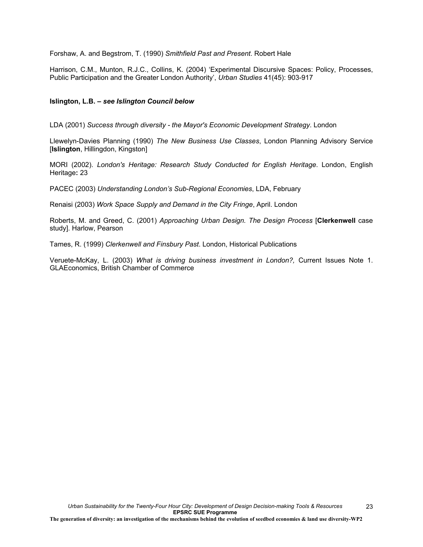Forshaw, A. and Begstrom, T. (1990) *Smithfield Past and Present*. Robert Hale

Harrison, C.M., Munton, R.J.C., Collins, K. (2004) 'Experimental Discursive Spaces: Policy, Processes, Public Participation and the Greater London Authority', *Urban Studies* 41(45): 903-917

### **Islington, L.B. –** *see Islington Council below*

LDA (2001) *Success through diversity - the Mayor's Economic Development Strategy*. London

Llewelyn-Davies Planning (1990) *The New Business Use Classes*, London Planning Advisory Service [**Islington**, Hillingdon, Kingston]

MORI (2002). *London's Heritage: Research Study Conducted for English Heritage*. London, English Heritage**:** 23

PACEC (2003) *Understanding London's Sub-Regional Economies*, LDA, February

Renaisi (2003) *Work Space Supply and Demand in the City Fringe*, April. London

Roberts, M. and Greed, C. (2001) *Approaching Urban Design. The Design Process* [**Clerkenwell** case study]. Harlow, Pearson

Tames, R. (1999) *Clerkenwell and Finsbury Past*. London, Historical Publications

Veruete-McKay, L. (2003) *What is driving business investment in London?,* Current Issues Note 1. GLAEconomics, British Chamber of Commerce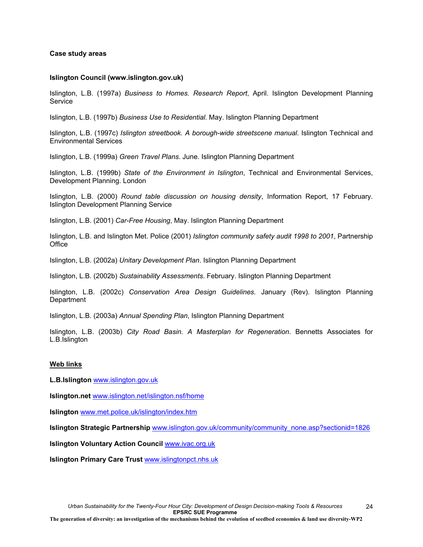#### **Case study areas**

#### **Islington Council (www.islington.gov.uk)**

Islington, L.B. (1997a) *Business to Homes. Research Report*, April. Islington Development Planning Service

Islington, L.B. (1997b) *Business Use to Residential*. May. Islington Planning Department

Islington, L.B. (1997c) *Islington streetbook. A borough-wide streetscene manual*. Islington Technical and Environmental Services

Islington, L.B. (1999a) *Green Travel Plans*. June. Islington Planning Department

Islington, L.B. (1999b) *State of the Environment in Islington*, Technical and Environmental Services, Development Planning. London

Islington, L.B. (2000) *Round table discussion on housing density*, Information Report, 17 February. Islington Development Planning Service

Islington, L.B. (2001) *Car-Free Housing*, May. Islington Planning Department

Islington, L.B. and Islington Met. Police (2001) *Islington community safety audit 1998 to 2001*, Partnership **Office** 

Islington, L.B. (2002a) *Unitary Development Plan*. Islington Planning Department

Islington, L.B. (2002b) *Sustainability Assessments*. February. Islington Planning Department

Islington, L.B. (2002c) *Conservation Area Design Guidelines.* January (Rev). Islington Planning **Department** 

Islington, L.B. (2003a) *Annual Spending Plan*, Islington Planning Department

Islington, L.B. (2003b) *City Road Basin. A Masterplan for Regeneration*. Bennetts Associates for L.B.Islington

#### **Web links**

**L.B.Islington** www.islington.gov.uk

**Islington.net** www.islington.net/islington.nsf/home

**Islington** www.met.police.uk/islington/index.htm

**Islington Strategic Partnership** www.islington.gov.uk/community/community\_none.asp?sectionid=1826

**Islington Voluntary Action Council** www.ivac.org.uk

**Islington Primary Care Trust** www.islingtonpct.nhs.uk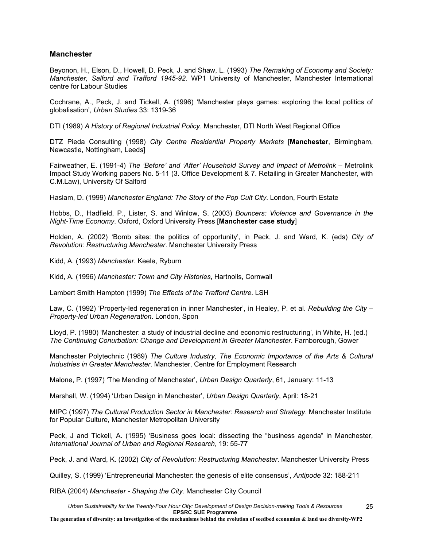## **Manchester**

Beyonon, H., Elson, D., Howell, D. Peck, J. and Shaw, L. (1993) *The Remaking of Economy and Society: Manchester, Salford and Trafford 1945-92.* WP1 University of Manchester, Manchester International centre for Labour Studies

Cochrane, A., Peck, J. and Tickell, A. (1996) 'Manchester plays games: exploring the local politics of globalisation', *Urban Studies* 33: 1319-36

DTI (1989) *A History of Regional Industrial Policy*. Manchester, DTI North West Regional Office

DTZ Pieda Consulting (1998) *City Centre Residential Property Markets* [**Manchester**, Birmingham, Newcastle, Nottingham, Leeds]

Fairweather, E. (1991-4) *The 'Before' and 'After' Household Survey and Impact of Metrolink* – Metrolink Impact Study Working papers No. 5-11 (3. Office Development & 7. Retailing in Greater Manchester, with C.M.Law), University Of Salford

Haslam, D. (1999) *Manchester England: The Story of the Pop Cult City*. London, Fourth Estate

Hobbs, D., Hadfield, P., Lister, S. and Winlow, S. (2003) *Bouncers: Violence and Governance in the Night-Time Economy*. Oxford, Oxford University Press [**Manchester case study**]

Holden, A. (2002) 'Bomb sites: the politics of opportunity', in Peck, J. and Ward, K. (eds) *City of Revolution: Restructuring Manchester*. Manchester University Press

Kidd, A. (1993) *Manchester*. Keele, Ryburn

Kidd, A. (1996) *Manchester: Town and City Histories*, Hartnolls, Cornwall

Lambert Smith Hampton (1999) *The Effects of the Trafford Centre*. LSH

Law, C. (1992) 'Property-led regeneration in inner Manchester', in Healey, P. et al. *Rebuilding the City – Property-led Urban Regeneration*. London, Spon

Lloyd, P. (1980) 'Manchester: a study of industrial decline and economic restructuring', in White, H. (ed.) *The Continuing Conurbation: Change and Development in Greater Manchester*. Farnborough, Gower

Manchester Polytechnic (1989) *The Culture Industry, The Economic Importance of the Arts & Cultural Industries in Greater Manchester*. Manchester, Centre for Employment Research

Malone, P. (1997) 'The Mending of Manchester', *Urban Design Quarterly*, 61, January: 11-13

Marshall, W. (1994) 'Urban Design in Manchester'*, Urban Design Quarterly*, April: 18-21

MIPC (1997) *The Cultural Production Sector in Manchester: Research and Strategy*. Manchester Institute for Popular Culture, Manchester Metropolitan University

Peck, J and Tickell, A. (1995) 'Business goes local: dissecting the "business agenda" in Manchester, *International Journal of Urban and Regional Research*, 19: 55-77

Peck, J. and Ward, K. (2002) *City of Revolution: Restructuring Manchester*. Manchester University Press

Quilley, S. (1999) 'Entrepreneurial Manchester: the genesis of elite consensus', *Antipode* 32: 188-211

RIBA (2004) *Manchester - Shaping the City*. Manchester City Council

*Urban Sustainability for the Twenty-Four Hour City: Development of Design Decision-making Tools & Resources* **EPSRC SUE Programme**

**The generation of diversity: an investigation of the mechanisms behind the evolution of seedbed economies & land use diversity-WP2**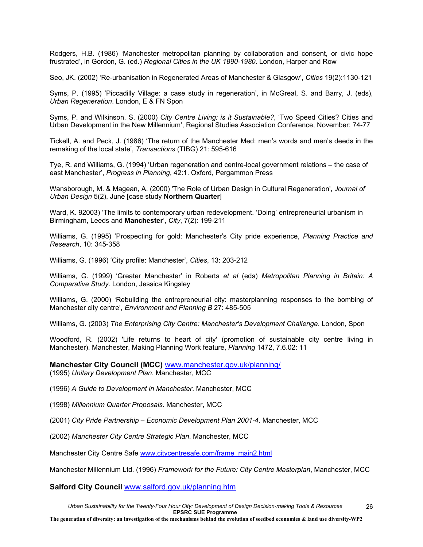Rodgers, H.B. (1986) 'Manchester metropolitan planning by collaboration and consent, or civic hope frustrated', in Gordon, G. (ed.) *Regional Cities in the UK 1890-1980*. London, Harper and Row

Seo, JK. (2002) 'Re-urbanisation in Regenerated Areas of Manchester & Glasgow', *Cities* 19(2):1130-121

Syms, P. (1995) 'Piccadilly Village: a case study in regeneration', in McGreal, S. and Barry, J. (eds), *Urban Regeneration*. London, E & FN Spon

Syms, P. and Wilkinson, S. (2000) *City Centre Living: is it Sustainable?*, 'Two Speed Cities? Cities and Urban Development in the New Millennium', Regional Studies Association Conference, November: 74-77

Tickell, A. and Peck, J. (1986) 'The return of the Manchester Med: men's words and men's deeds in the remaking of the local state', *Transactions* (TIBG) 21: 595-616

Tye, R. and Williams, G. (1994) 'Urban regeneration and centre-local government relations – the case of east Manchester', *Progress in Planning*, 42:1. Oxford, Pergammon Press

Wansborough, M. & Magean, A. (2000) 'The Role of Urban Design in Cultural Regeneration', *Journal of Urban Design* 5(2), June [case study **Northern Quarter**]

Ward, K. 92003) 'The limits to contemporary urban redevelopment. 'Doing' entrepreneurial urbanism in Birmingham, Leeds and **Manchester**', *City*, 7(2): 199-211

Williams, G. (1995) 'Prospecting for gold: Manchester's City pride experience, *Planning Practice and Research*, 10: 345-358

Williams, G. (1996) 'City profile: Manchester', *Cities*, 13: 203-212

Williams, G. (1999) 'Greater Manchester' in Roberts *et al* (eds) *Metropolitan Planning in Britain: A Comparative Study*. London, Jessica Kingsley

Williams, G. (2000) 'Rebuilding the entrepreneurial city: masterplanning responses to the bombing of Manchester city centre', *Environment and Planning B* 27: 485-505

Williams, G. (2003) *The Enterprising City Centre: Manchester's Development Challenge*. London, Spon

Woodford, R. (2002) 'Life returns to heart of city' (promotion of sustainable city centre living in Manchester). Manchester, Making Planning Work feature, *Planning* 1472, 7.6.02: 11

**Manchester City Council (MCC)** www.manchester.gov.uk/planning/ (1995) *Unitary Development Plan*. Manchester, MCC

(1996) *A Guide to Development in Manchester*. Manchester, MCC

(1998) *Millennium Quarter Proposals*. Manchester, MCC

(2001) *City Pride Partnership – Economic Development Plan 2001-4*. Manchester, MCC

(2002) *Manchester City Centre Strategic Plan*. Manchester, MCC

Manchester City Centre Safe www.citycentresafe.com/frame\_main2.html

Manchester Millennium Ltd. (1996) *Framework for the Future: City Centre Masterplan*, Manchester, MCC

**Salford City Council** www.salford.gov.uk/planning.htm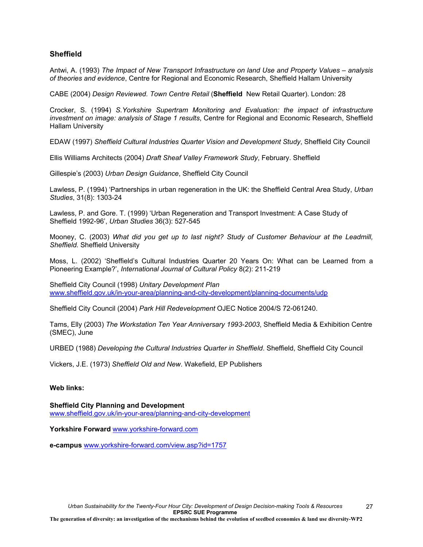## **Sheffield**

Antwi, A. (1993) *The Impact of New Transport Infrastructure on land Use and Property Values – analysis of theories and evidence*, Centre for Regional and Economic Research, Sheffield Hallam University

CABE (2004) *Design Reviewed. Town Centre Retail* (**Sheffield** New Retail Quarter). London: 28

Crocker, S. (1994) *S.Yorkshire Supertram Monitoring and Evaluation: the impact of infrastructure investment on image: analysis of Stage 1 results*, Centre for Regional and Economic Research, Sheffield Hallam University

EDAW (1997) *Sheffield Cultural Industries Quarter Vision and Development Study*, Sheffield City Council

Ellis Williams Architects (2004) *Draft Sheaf Valley Framework Study*, February. Sheffield

Gillespie's (2003) *Urban Design Guidance*, Sheffield City Council

Lawless, P. (1994) 'Partnerships in urban regeneration in the UK: the Sheffield Central Area Study, *Urban Studies*, 31(8): 1303-24

Lawless, P. and Gore. T. (1999) 'Urban Regeneration and Transport Investment: A Case Study of Sheffield 1992-96', *Urban Studies* 36(3): 527-545

Mooney, C. (2003) *What did you get up to last night? Study of Customer Behaviour at the Leadmill, Sheffield.* Sheffield University

Moss, L. (2002) 'Sheffield's Cultural Industries Quarter 20 Years On: What can be Learned from a Pioneering Example?', *International Journal of Cultural Policy* 8(2): 211-219

Sheffield City Council (1998) *Unitary Development Plan* www.sheffield.gov.uk/in-your-area/planning-and-city-development/planning-documents/udp

Sheffield City Council (2004) *Park Hill Redevelopment* OJEC Notice 2004/S 72-061240.

Tams, Elly (2003) *The Workstation Ten Year Anniversary 1993-2003*, Sheffield Media & Exhibition Centre (SMEC), June

URBED (1988) *Developing the Cultural Industries Quarter in Sheffield*. Sheffield, Sheffield City Council

Vickers, J.E. (1973) *Sheffield Old and New*. Wakefield, EP Publishers

## **Web links:**

**Sheffield City Planning and Development** www.sheffield.gov.uk/in-your-area/planning-and-city-development

**Yorkshire Forward** www.yorkshire-forward.com

**e-campus** www.yorkshire-forward.com/view.asp?id=1757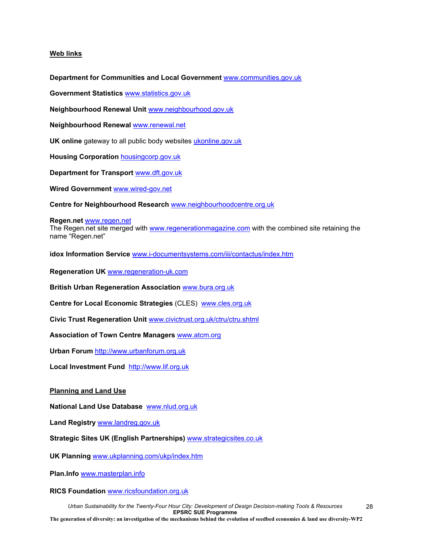### **Web links**

**Department for Communities and Local Government** www.communities.gov.uk

**Government Statistics** www.statistics.gov.uk

**Neighbourhood Renewal Unit** www.neighbourhood.gov.uk

**Neighbourhood Renewal** www.renewal.net

**UK online** gateway to all public body websites ukonline.gov.uk

**Housing Corporation** housingcorp.gov.uk

**Department for Transport** www.dft.gov.uk

**Wired Government** www.wired-gov.net

**Centre for Neighbourhood Research** www.neighbourhoodcentre.org.uk

#### **Regen.net** www.regen.net

The Regen.net site merged with www.regenerationmagazine.com with the combined site retaining the name "Regen.net"

**idox Information Service** www.i-documentsystems.com/iii/contactus/index.htm

**Regeneration UK** www.regeneration-uk.com

**British Urban Regeneration Association** www.bura.org.uk

**Centre for Local Economic Strategies** (CLES)www.cles.org.uk

**Civic Trust Regeneration Unit** www.civictrust.org.uk/ctru/ctru.shtml

**Association of Town Centre Managers** www.atcm.org

**Urban Forum** http://www.urbanforum.org.uk

**Local Investment Fund** http://www.lif.org.uk

#### **Planning and Land Use**

**National Land Use Database** www.nlud.org.uk

**Land Registry** www.landreg.gov.uk

**Strategic Sites UK (English Partnerships)** www.strategicsites.co.uk

**UK Planning** www.ukplanning.com/ukp/index.htm

**Plan.Info** www.masterplan.info

**RICS Foundation** www.ricsfoundation.org.uk

*Urban Sustainability for the Twenty-Four Hour City: Development of Design Decision-making Tools & Resources* **EPSRC SUE Programme The generation of diversity: an investigation of the mechanisms behind the evolution of seedbed economies & land use diversity-WP2** 28